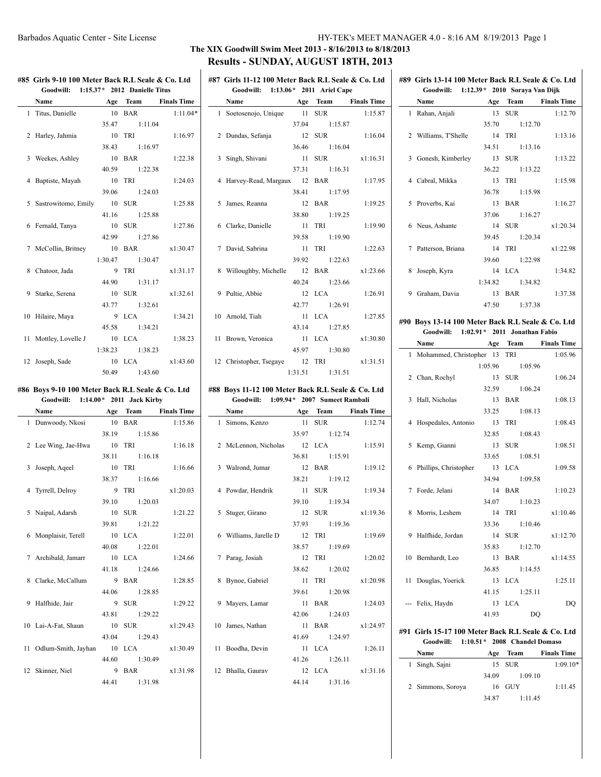### Barbados Aquatic Center - Site License HY-TEK's MEET MANAGER 4.0 - 8:16 AM 8/19/2013 Page 1

### **The XIX Goodwill Swim Meet 2013 - 8/16/2013 to 8/18/2013 Results - SUNDAY, AUGUST 18TH, 2013**  $\overline{1}$

|    | #85 Girls 9-10 100 Meter Back R.L Seale & Co. Ltd<br>Goodwill: 1:15.37* 2012 Danielle Titus |            |                             |                         |              | #87 Girls<br>Goo |
|----|---------------------------------------------------------------------------------------------|------------|-----------------------------|-------------------------|--------------|------------------|
|    | <b>Name</b>                                                                                 |            | <b>Age Team</b> Finals Time |                         |              | Name             |
|    | 1 Titus, Danielle                                                                           |            | 10 BAR                      | $1:11.04*$              | $\mathbf{1}$ | Soetos           |
|    |                                                                                             |            | 35.47 1:11.04               |                         |              |                  |
|    | 2 Harley, Jahmia                                                                            |            | 10 TRI                      | 1:16.97                 |              | 2 Dunda          |
|    |                                                                                             | 38.43      | 1:16.97                     |                         |              |                  |
|    | 3 Weekes, Ashley                                                                            |            | 10 BAR                      | 1:22.38                 |              | 3 Singh,         |
|    |                                                                                             | 40.59      | 1:22.38                     |                         |              |                  |
|    | 4 Baptiste, Mayah                                                                           |            | 10 TRI                      | 1:24.03                 |              | 4 Harvey         |
|    |                                                                                             |            | 39.06 1:24.03               |                         |              |                  |
|    | 5 Sastrowitomo, Emily                                                                       |            | 10 SUR                      | 1:25.88                 |              | 5 James,         |
|    |                                                                                             | 41.16      | 1:25.88                     |                         |              |                  |
|    | 6 Fernald, Tanya                                                                            |            | 10 SUR                      | 1:27.86                 |              | 6 Clarke         |
|    |                                                                                             | 42.99      | 1:27.86                     |                         |              |                  |
|    | 7 McCollin, Britney                                                                         |            | 10 BAR                      | x1:30.47                |              | 7 David.         |
|    |                                                                                             | 1:30.47    | 1:30.47                     |                         |              |                  |
|    | 8 Chatoor, Jada                                                                             | 9          | TRI                         | x1:31.17                |              | 8 Willou         |
|    |                                                                                             | 44.90      | 1:31.17                     |                         |              |                  |
|    |                                                                                             |            |                             |                         |              |                  |
|    | 9 Starke, Serena                                                                            | 10         | <b>SUR</b>                  | x1:32.61                |              | 9 Pultie,        |
|    |                                                                                             | 43.77      | 1:32.61                     |                         |              |                  |
|    | 10 Hilaire, Maya                                                                            |            | 9 LCA                       | 1:34.21                 |              | 10 Arnold        |
|    |                                                                                             | 45.58      | 1:34.21                     |                         |              |                  |
|    | 11 Mottley, Lovelle J                                                                       |            | 10 LCA                      | 1:38.23                 |              | 11 Brown         |
|    |                                                                                             | 1:38.23    | 1:38.23                     |                         |              |                  |
|    | 12 Joseph, Sade                                                                             |            | 10 LCA                      | x1:43.60                |              | 12 Christo       |
|    |                                                                                             |            |                             |                         |              |                  |
|    |                                                                                             | 50.49      | 1:43.60                     |                         |              |                  |
|    | #86 Boys 9-10 100 Meter Back R.L Seale & Co. Ltd                                            |            |                             |                         |              | #88 Boys 1       |
|    | Goodwill: 1:14.00* 2011 Jack Kirby                                                          |            |                             |                         |              | Goo              |
|    | Name                                                                                        | Age        |                             | <b>Team</b> Finals Time |              | Name             |
|    | 1 Dunwoody, Nkosi                                                                           |            | 10 BAR                      | 1:15.86                 |              | 1 Simon          |
|    |                                                                                             |            | 38.19 1:15.86               |                         |              |                  |
|    | 2 Lee Wing, Jae-Hwa                                                                         |            | 10 TRI                      | 1:16.18                 |              | 2 McLer          |
|    |                                                                                             | 38.11      | 1:16.18                     |                         |              |                  |
|    | 3 Joseph, Aqeel                                                                             |            | 10 TRI                      | 1:16.66                 |              | 3 Walron         |
|    |                                                                                             | 38.37      | 1:16.66                     |                         |              |                  |
|    | 4 Tyrrell, Delroy                                                                           | 9 TRI      |                             | x1:20.03                |              | 4 Powda          |
|    |                                                                                             | 39.10      | 1:20.03                     |                         |              |                  |
|    |                                                                                             |            |                             |                         |              |                  |
|    | 5 Naipal, Adarsh 10 SUR 1:21.22                                                             | 39.81      | 1:21.22                     |                         |              | 5 Stuger         |
|    | 6 Monplaisir, Terell                                                                        | 10         | <b>LCA</b>                  | 1:22.01                 |              | 6 William        |
|    |                                                                                             | 40.08      | 1:22.01                     |                         |              |                  |
|    | 7 Archibald, Jamarr                                                                         | 10         | <b>LCA</b>                  | 1:24.66                 | 7            |                  |
|    |                                                                                             |            | 1:24.66                     |                         |              | Parag,           |
|    |                                                                                             | 41.18      |                             |                         |              |                  |
|    | 8 Clarke, McCallum                                                                          | 9          | <b>BAR</b>                  | 1:28.85                 | 8            | <b>Bynoe</b>     |
|    |                                                                                             | 44.06      | 1:28.85                     |                         |              |                  |
| 9  | Halfhide, Jair                                                                              | 9          | <b>SUR</b>                  | 1:29.22                 |              | 9 Mayer          |
|    |                                                                                             | 43.81      | 1:29.22                     |                         |              |                  |
|    | 10 Lai-A-Fat, Shaun                                                                         | 10         | <b>SUR</b>                  | x1:29.43                | 10           | James,           |
|    |                                                                                             | 43.04      | 1:29.43                     |                         |              |                  |
| 11 | Odlum-Smith, Jayhan                                                                         | 10         | LCA                         | x1:30.49                | 11           | Boodh            |
| 12 | Skinner, Niel                                                                               | 44.60<br>9 | 1:30.49<br>BAR              | x1:31.98                | 12           | Bhalla           |

# **#87 Girls 11-12 100 Meter Back R.L Seale & Co. Ltd Goodwill: 1:13.06\* 2011 Ariel Cape Name Age Team Finals Time** enojo, Unique 11 SUR 1:15.87 37.04 1:15.87 1:16.04 refaria 12 SUR 1:16.04 36.46 1:16.04 3 Singh, Shivani 11 SUR x1:16.31 37.31 1:16.31 y-Read, Margaux 12 BAR 1:17.95 38.41 1:17.95 5 James, Reanna 12 BAR 1:19.25 38.80 1:19.25 6 Clarke, Danielle 11 TRI 1:19.90 39.58 1:19.90 7 David, Sabrina 11 TRI 1:22.63 39.92 1:22.63 aghby, Michelle 12 BAR x1:23.66 40.24 1:23.66 Abbie 12 LCA 1:26.91 42.77 1:26.91 d, Tiah 11 LCA 1:27.85 43.14 1:27.85 11 LCA x1:30.80 45.97 1:30.80 opher, Tsegaye 12 TRI x1:31.51 1:31.51 1:31.51 **#88 Boys 11-12 100 Meter Back R.L Seale & Co. Ltd Goodwill: 1:09.94\* 2007 Sumeet Rambali Name Age Team Finals Time** 1:12.74 style 1:12.74 35.97 1:12.74  $2 \text{ LCA}$  1:15.91 36.81 1:15.91

| wichelmon, ruchonas     |                 |          |
|-------------------------|-----------------|----------|
|                         | 36.81 1:15.91   |          |
| 3 Walrond, Jumar 12 BAR |                 | 1:19.12  |
|                         | 38.21 1:19.12   |          |
| 4 Powdar, Hendrik       | 11 SUR          | 1:19.34  |
|                         | 39.10 1:19.34   |          |
| 5 Stuger, Girano        | 12 SUR x1:19.36 |          |
|                         | 37.93 1:19.36   |          |
| 6 Williams, Jarelle D   | 12 TRI          | 1:19.69  |
|                         | 38.57 1:19.69   |          |
| 7 Parag, Josiah         | 12 TRI          | 1:20.02  |
|                         | 38.62 1:20.02   |          |
| 8 Bynoe, Gabriel        | 11 TRI          | x1:20.98 |
|                         | 39.61 1:20.98   |          |
| 9 Mayers, Lamar         | 11 <b>BAR</b>   | 1:24.03  |
|                         | 42.06 1:24.03   |          |
| 10 James, Nathan        | 11 BAR          | x1:24.97 |
|                         | 41.69 1:24.97   |          |
| 11 Boodha, Devin        | 11 LCA          | 1:26.11  |
|                         | 41.26 1:26.11   |          |
| 12 Bhalla, Gaurav       | 12 LCA x1:31.16 |          |
|                         | 44 14 1.31 16   |          |

| Goodwill: 1:12.39 * 2010 Soraya Van Dijk          |                 |                      |
|---------------------------------------------------|-----------------|----------------------|
| Name                                              |                 | Age Team Finals Time |
| 1 Rahan, Anjali                                   | 13 SUR          | 1:12.70              |
|                                                   | 35.70 1:12.70   |                      |
| 2 Williams, T'Shelle                              | 14 TRI          | 1:13.16              |
|                                                   | 34.51 1:13.16   |                      |
| 3 Gonesh, Kimberley                               | 13 SUR          | 1:13.22              |
|                                                   | 36.22 1:13.22   |                      |
| 4 Cabral, Mikka                                   | 13 TRI          | 1:15.98              |
|                                                   | 36.78 1:15.98   |                      |
| 5 Proverbs, Kai                                   | 13 BAR          | 1:16.27              |
|                                                   | 37.06 1:16.27   |                      |
| 6 Neus, Ashante                                   | 14 SUR          | x1:20.34             |
|                                                   | 39.45 1:20.34   |                      |
| 7 Patterson, Briana                               | 14 TRI          | x1:22.98             |
|                                                   | 39.60 1:22.98   |                      |
| 8 Joseph, Kyra                                    | 14 LCA          | 1:34.82              |
|                                                   | 1:34.82 1:34.82 |                      |
| 9 Graham, Davia                                   | 13 BAR          | 1:37.38              |
|                                                   | 47.50 1:37.38   |                      |
| #90 Boys 13-14 100 Meter Back R.L Seale & Co. Ltd |                 |                      |
| Goodwill: 1:02.91 * 2011 Jonathan Fabio           |                 |                      |
|                                                   |                 |                      |
| <b>Name</b>                                       |                 | Age Team Finals Time |
| 1 Mohammed, Christopher 13 TRI                    |                 | 1:05.96              |
|                                                   | 1:05.96 1:05.96 |                      |
| $2 \times 11$ $12 \times 12$ $12 \times 12$       |                 |                      |

**#89 Girls 13-14 100 Meter Back R.L Seale & Co. Ltd**

|                                | 1:05.96 1:05.96    |          |
|--------------------------------|--------------------|----------|
| 2 Chan, Rochyl                 | 13 SUR             | 1:06.24  |
|                                | 32.59 1:06.24      |          |
| 3 Hall, Nicholas               | 13 BAR             | 1:08.13  |
|                                | 33.25 1:08.13      |          |
| 4 Hospedales, Antonio 13 TRI   |                    | 1:08.43  |
|                                | 32.85 1:08.43      |          |
| 5 Kemp, Gianni                 | 13 SUR             | 1:08.51  |
|                                | 33.65 1:08.51      |          |
| 6 Phillips, Christopher 13 LCA |                    | 1:09.58  |
|                                | 34.94 1:09.58      |          |
| 7 Forde, Jelani                | 14 BAR             | 1:10.23  |
|                                | 34.07 1:10.23      |          |
| 8 Morris, Leshem               | 14 TRI             | x1:10.46 |
|                                | 33.36 1:10.46      |          |
| 9 Halfhide, Jordan             | 14 SUR             | x1:12.70 |
|                                | 35.83 1:12.70      |          |
| 10 Bernhardt, Leo              | 13 BAR             | x1:14.55 |
|                                | 36.85 1:14.55      |          |
| 11 Douglas, Yoerick 13 LCA     |                    | 1:25.11  |
|                                | 41.15 1:25.11      |          |
| --- Felix, Haydn               | 13 LCA             | DQ       |
|                                | 41.93<br><b>DO</b> |          |

### **#91 Girls 15-17 100 Meter Back R.L Seale & Co. Ltd Goodwill: 1:10.51\* 2008 Chandel Domaso**

| <b>Name</b>       | Age   | Team    | <b>Finals Time</b> |
|-------------------|-------|---------|--------------------|
| 1 Singh, Sajni    |       | 15 SUR  | $1:09.10*$         |
|                   | 34.09 | 1:09.10 |                    |
| 2 Simmons, Soroya |       | 16 GUY  | 1:11.45            |
|                   | 34.87 | 1:11.45 |                    |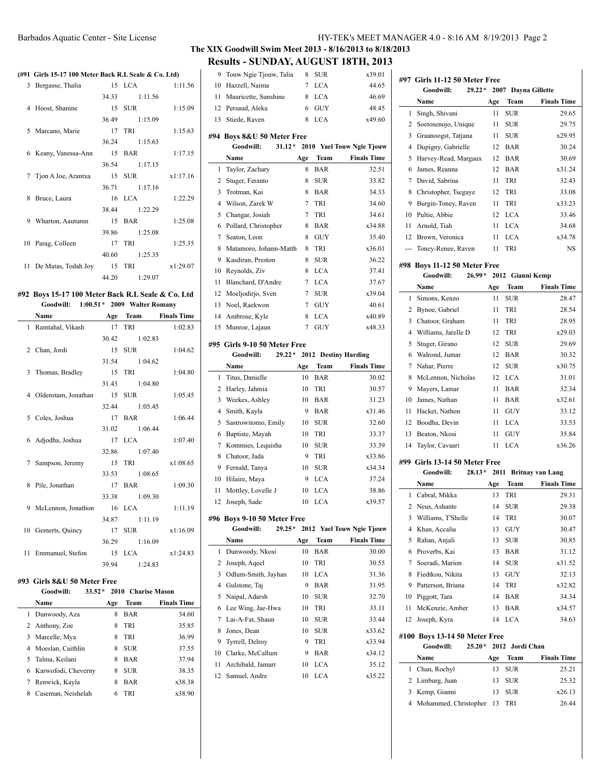### Barbados Aquatic Center - Site License HY-TEK's MEET MANAGER 4.0 - 8:16 AM 8/19/2013 Page 2

**#97 Girls 11-12 50 Meter Free**

### **The XIX Goodwill Swim Meet 2013 - 8/16/2013 to 8/18/2013 Results - SUNDAY, AUGUST 18TH, 2013**

### **(#91 Girls 15-17 100 Meter Back R.L Seale & Co. Ltd)**

|   | 3 Bergasse, Thalia     | 15 LCA        | 1:11.56  |
|---|------------------------|---------------|----------|
|   |                        | 34.33 1:11.56 |          |
|   | 4 Hoost, Shanine       | 15 SUR        | 1:15.09  |
|   |                        | 36.49 1:15.09 |          |
|   | 5 Marcano, Marie       | 17 TRI        | 1:15.63  |
|   |                        | 36.24 1:15.63 |          |
|   | 6 Keany, Vanessa-Ann   | 15 BAR        | 1:17.15  |
|   |                        | 36.54 1:17.15 |          |
|   | 7 Tjon A Joe, Arantxa  | 15 SUR        | x1:17.16 |
|   |                        | 36.71 1:17.16 |          |
| 8 | Bruce, Laura           | 16 LCA        | 1:22.29  |
|   |                        | 38.44 1:22.29 |          |
| 9 | Wharton, Aautumn       | 15 BAR        | 1:25.08  |
|   |                        | 39.86 1:25.08 |          |
|   | 10 Parag, Colleen      | 17 TRI        | 1:25.35  |
|   |                        | 40.60 1:25.35 |          |
|   | 11 De Matas, Todah Joy | 15 TRI        | x1:29.07 |
|   |                        | 44.20 1:29.07 |          |
|   |                        |               |          |

### **#92 Boys 15-17 100 Meter Back R.L Seale & Co. Ltd Goodwill: 1:00.51\* 2009 Walter Romany**

|    | Name                         | Age | Team              | <b>Finals Time</b> |
|----|------------------------------|-----|-------------------|--------------------|
|    | 1 Ramtahal, Vikash           | 17  | <b>TRI</b>        | 1:02.83            |
|    |                              |     | 30.42 1:02.83     |                    |
|    | 2 Chan, Jordi                |     | 15 SUR            | 1:04.62            |
|    |                              |     | 31.54 1:04.62     |                    |
|    | 3 Thomas, Bradley            |     | 15 TRI            | 1:04.80            |
|    |                              |     | 31.43 1:04.80     |                    |
|    | 4 Oldenstam, Jonathan 15 SUR |     |                   | 1:05.45            |
|    |                              |     | 32.44 1:05.45     |                    |
|    | 5 Coles, Joshua              |     | 17 BAR            | 1:06.44            |
|    |                              |     | $31.02 \t1:06.44$ |                    |
|    | 6 Adjodha, Joshua            |     | 17 LCA            | 1:07.40            |
|    |                              |     | 32.86 1:07.40     |                    |
| 7  | Sampson, Jeremy              |     | 15 TRI            | x1:08.65           |
|    |                              |     | 33.53 1:08.65     |                    |
| 8  | Pile, Jonathan               |     | 17 BAR            | 1:09.30            |
|    |                              |     | 33.38 1:09.30     |                    |
|    | 9 McLennon, Jonathon         |     | 16 LCA            | 1:11.19            |
|    |                              |     | 34.87 1:11.19     |                    |
|    | 10 Gemerts, Quincy           | 17  | <b>SUR</b>        | x1:16.09           |
|    |                              |     | 36.29 1:16.09     |                    |
| 11 | Emmanuel, Stefon             |     | 15 LCA            | x1:24.83           |
|    |                              |     | 39.94 1:24.83     |                    |

### **#93 Girls 8&U 50 Meter Free**

|   | Goodwill:             |     |            | 33.52 * 2010 Charise Mason |
|---|-----------------------|-----|------------|----------------------------|
|   | Name                  | Age | Team       | <b>Finals Time</b>         |
|   | 1 Dunwoody, Aza       | 8   | <b>BAR</b> | 34.60                      |
|   | 2 Anthony, Zoe        | 8   | TRI        | 35.85                      |
|   | 3 Marcelle, Mya       | 8   | TRI        | 36.99                      |
|   | 4 Moeslan, Caithlin   | 8   | <b>SUR</b> | 37.55                      |
|   | 5 Talma, Keilani      | 8   | <b>BAR</b> | 37.94                      |
|   | 6 Karwofodi, Cheverny | 8   | <b>SUR</b> | 38.35                      |
| 7 | Renwick, Kayla        | 8   | <b>BAR</b> | x38.38                     |
| 8 | Caseman, Neishelah    | 6   | TRI        | x38.90                     |

|                | Results - SUNDAT, AUGUST 101 II, 2015 |          |                   |                           |
|----------------|---------------------------------------|----------|-------------------|---------------------------|
| 9              | Touw Ngie Tjouw, Talia                | 8        | <b>SUR</b>        | x39.01                    |
| 10             | Hazzell, Naima                        | $\tau$   | <b>LCA</b>        | 44.65                     |
| 11             | Mauricette, Sunshine                  | 8        | <b>LCA</b>        | 46.69                     |
| 12             | Persaud, Aleka                        | 6        | <b>GUY</b>        | 48.45                     |
| 13             | Stiede, Raven                         | 8        | <b>LCA</b>        | x49.60                    |
|                | #94 Boys 8&U 50 Meter Free            |          |                   |                           |
|                | Goodwill:<br>$31.12*$                 |          |                   | 2010 Yael Touw Ngie Tjouw |
|                | Name                                  | Age      | Team              | <b>Finals Time</b>        |
| 1              | Taylor, Zachary                       | 8        | <b>BAR</b>        | 32.51                     |
| 2              | Stuger, Feranto                       | 8        | <b>SUR</b>        | 33.82                     |
| 3              | Trotman, Kai                          | 8        | BAR               | 34.33                     |
| $\overline{4}$ | Wilson, Zarek W                       | 7        | TRI               | 34.60                     |
| 5              | Changar, Josiah                       | 7        | TRI               | 34.61                     |
| 6              | Pollard, Christopher                  | 8        | BAR               | x34.88                    |
| 7              | Seaton, Leon                          | 8        | <b>GUY</b>        | 35.40                     |
| 8              | Matamoro, Johann-Matth                | 8        | TRI               | x36.01                    |
| 9              | Kasdiran, Preston                     | 8        | <b>SUR</b>        | 36.22                     |
| 10             | Reynolds, Ziv                         | 8        | <b>LCA</b>        | 37.41                     |
| 11             | Blanchard, D'Andre                    | 7        | LCA               | 37.67                     |
| 12             | Moeljodirjo, Sven                     | 7        | <b>SUR</b>        | x39.04                    |
| 13             | Noel, Raekwon                         | 7        | GUY               | 40.61                     |
| 14             | Ambrose, Kyle                         | 8        | LCA               | x40.89                    |
| 15             | Munroe, Lajaun                        | 7        | <b>GUY</b>        | x48.33                    |
|                |                                       |          |                   |                           |
|                | #95 Girls 9-10 50 Meter Free          |          |                   |                           |
|                | Goodwill:<br>$29.22*$                 | 2012     |                   | <b>Destiny Harding</b>    |
|                | Name                                  | Age      | Team              | <b>Finals Time</b>        |
| 1<br>2         | Titus, Danielle                       | 10<br>10 | <b>BAR</b><br>TRI | 30.02<br>30.57            |
| 3              | Harley, Jahmia<br>Weekes, Ashley      | 10       | <b>BAR</b>        | 31.23                     |
| 4              | Smith, Kayla                          | 9        | <b>BAR</b>        | x31.46                    |
| 5              | Sastrowitomo, Emily                   | 10       | <b>SUR</b>        | 32.60                     |
| 6              | Baptiste, Mayah                       | 10       | TRI               | 33.37                     |
| 7              | Kommies, Lequisha                     | 10       | <b>SUR</b>        | 33.39                     |
| 8              | Chatoor, Jada                         | 9        | TRI               | x33.86                    |
| 9              | Fernald, Tanya                        | 10       | ${\rm SUR}$       | x34.34                    |
| 10             | Hilaire, Maya                         | 9        | <b>LCA</b>        | 37.24                     |
| 11             | Mottley, Lovelle J                    | 10       | <b>LCA</b>        | 38.86                     |
| 12             | Joseph, Sade                          | 10       | <b>LCA</b>        | x39.57                    |
|                |                                       |          |                   |                           |
|                | #96 Boys 9-10 50 Meter Free           |          |                   |                           |
|                | Goodwill:<br>$29.25*$                 |          |                   | 2012 Yael Touw Ngie Tjouw |
|                | Name                                  | Age      | Team              | <b>Finals Time</b>        |
| 1              | Dunwoody, Nkosi                       | 10       | <b>BAR</b>        | 30.00                     |
| 2              | Joseph, Aqeel                         | 10       | TRI               | 30.55                     |
| 3              | Odlum-Smith, Jayhan                   | 10       | LCA               | 31.36                     |
| 4              | Gulstone, Taj                         | 9        | BAR               | 31.95                     |
| 5              | Naipal, Adarsh                        | 10       | <b>SUR</b>        | 32.70                     |
| 6              | Lee Wing, Jae-Hwa                     | 10       | TRI               | 33.11                     |
| 7              | Lai-A-Fat, Shaun                      | 10       | <b>SUR</b>        | 33.44                     |
| 8              | Jones, Dean                           | 10       | <b>SUR</b>        | x33.62                    |
| 9              | Tyrrell, Delroy                       | 9        | TRI               | x33.94                    |
| 10             | Clarke, McCallum                      | 9        | BAR               | x34.12                    |
| 11             | Archibald, Jamarr                     | 10       | LCA               | 35.12                     |
| 12             | Samuel, Andre                         | 10       | LCA               | x35.22                    |
|                |                                       |          |                   |                           |
|                |                                       |          |                   |                           |
|                |                                       |          |                   |                           |
|                |                                       |          |                   |                           |

|     | Goodwill:<br>$29.22*$         |      |            | 2007 Dayna Gillette |
|-----|-------------------------------|------|------------|---------------------|
|     | Name                          | Age  | Team       | <b>Finals Time</b>  |
| 1   | Singh, Shivani                | 11   | SUR        | 29.65               |
| 2   | Soetosenojo, Unique           | 11   | <b>SUR</b> | 29.75               |
| 3   | Graanoogst, Tatjana           | 11   | <b>SUR</b> | x29.95              |
| 4   | Dupigny, Gabrielle            | 12   | <b>BAR</b> | 30.24               |
| 5   | Harvey-Read, Margaux          | 12   | <b>BAR</b> | 30.69               |
| 6   | James, Reanna                 | 12   | <b>BAR</b> | x31.24              |
| 7   | David, Sabrina                | 11   | TRI        | 32.43               |
| 8   | Christopher, Tsegaye          | 12   | TRI        | 33.08               |
| 9   | Burgin-Toney, Raven           | 11   | TRI        | x33.23              |
| 10  | Pultie, Abbie                 | 12   | <b>LCA</b> | 33.46               |
| 11  | Arnold, Tiah                  | 11   | <b>LCA</b> | 34.68               |
| 12  | Brown, Veronica               | 11   | <b>LCA</b> | x34.78              |
| --- | Toney-Renee, Raven            | 11   | TRI        | <b>NS</b>           |
|     | #98 Boys 11-12 50 Meter Free  |      |            |                     |
|     | <b>Goodwill:</b><br>$26.99*$  | 2012 |            | Gianni Kemp         |
|     | Name                          | Age  | Team       | <b>Finals Time</b>  |
| 1   | Simons, Kenzo                 | 11   | <b>SUR</b> | 28.47               |
| 2   | Bynoe, Gabriel                | 11   | TRI        | 28.54               |
| 3   | Chatoor, Graham               | 11   | TRI        | 28.95               |
| 4   | Williams, Jarelle D           | 12   | TRI        | x29.03              |
| 5   | Stuger, Girano                | 12   | <b>SUR</b> | 29.69               |
| 6   | Walrond, Jumar                | 12   | <b>BAR</b> | 30.32               |
| 7   | Nahar, Pierre                 | 12   | <b>SUR</b> | x30.75              |
| 8   | McLennon, Nicholas            | 12   | <b>LCA</b> | 31.01               |
| 9   | Mayers, Lamar                 | 11   | BAR        | 32.34               |
| 10  | James, Nathan                 | 11   | <b>BAR</b> | x32.61              |
| 11  | Hacket, Nathon                | 11   | <b>GUY</b> | 33.12               |
| 12  | Boodha, Devin                 | 11   | <b>LCA</b> | 33.53               |
| 13  | Beaton, Nkosi                 | 11   | <b>GUY</b> | 35.84               |
| 14  | Taylor, Cavaari               | 11   | <b>LCA</b> | x36.26              |
|     | #99 Girls 13-14 50 Meter Free |      |            |                     |

|      | Goodwill:<br>$28.13*$    |     | 2011 Britnay van Lang |                    |  |
|------|--------------------------|-----|-----------------------|--------------------|--|
|      | Name                     | Age | Team                  | <b>Finals Time</b> |  |
| 1    | Cabral, Mikka            | 13  | TRI                   | 29.31              |  |
| 2    | Neus, Ashante            | 14  | <b>SUR</b>            | 29.38              |  |
| 3    | Williams, T'Shelle       | 14  | TRI                   | 30.07              |  |
| 4    | Khan, Accalia            | 13  | <b>GUY</b>            | 30.47              |  |
| 5    | Rahan, Anjali            | 13  | <b>SUR</b>            | 30.85              |  |
| 6    | Proverbs, Kai            | 13  | <b>BAR</b>            | 31.12              |  |
| 7    | Soeradi, Marion          | 14  | <b>SUR</b>            | x31.52             |  |
| 8    | Fiedtkou, Nikita         | 13  | <b>GUY</b>            | 32.13              |  |
| 9    | Patterson, Briana        | 14  | TRI                   | x32.82             |  |
| 10   | Piggott, Tara            | 14  | <b>BAR</b>            | 34.34              |  |
| 11   | McKenzie, Amber          | 13  | <b>BAR</b>            | x34.57             |  |
| 12   | Joseph, Kyra             | 14  | <b>LCA</b>            | 34.63              |  |
| #100 | Boys 13-14 50 Meter Free |     |                       |                    |  |
|      | Goodwill:<br>$25.20*$    |     | 2012 Jordi Chan       |                    |  |
|      | Name                     | Age | Team                  | <b>Finals Time</b> |  |
| 1    | Chan, Rochyl             | 13  | <b>SUR</b>            | 25.21              |  |
| 2    | Limburg, Juan            | 13  | <b>SUR</b>            | 25.32              |  |
| 3    | Kemp, Gianni             | 13  | <b>SUR</b>            | x26.13             |  |
| 4    | Mohammed, Christopher    | 13  | TRI                   | 26.44              |  |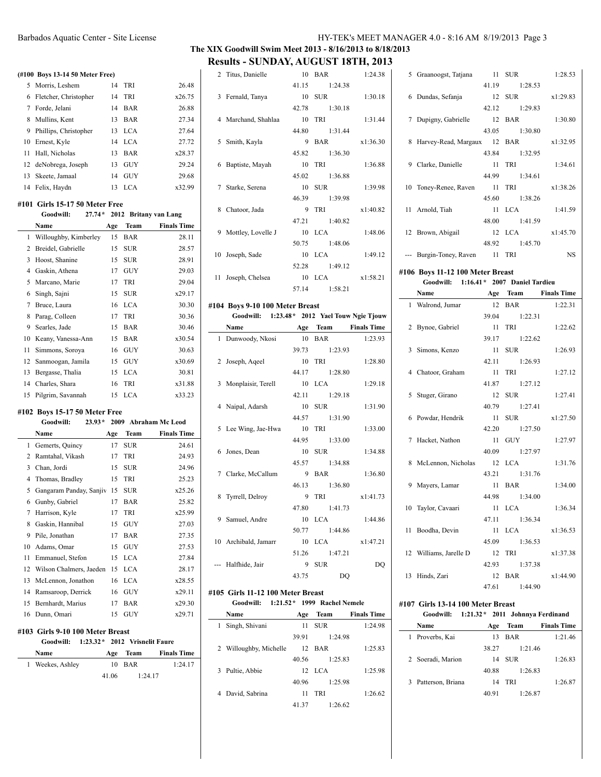### Barbados Aquatic Center - Site License HY-TEK's MEET MANAGER 4.0 - 8:16 AM 8/19/2013 Page 3

# **The XIX Goodwill Swim Meet 2013 - 8/16/2013 to 8/18/2013**

**Results - SUNDAY, AUGUST 18TH, 2013**

### **(#100 Boys 13-14 50 Meter Free)**

|     | 5 Morris, Leshem        | 14 | <b>TRI</b> | 26.48  |
|-----|-------------------------|----|------------|--------|
|     | 6 Fletcher, Christopher | 14 | <b>TRI</b> | x26.75 |
|     | Forde, Jelani           | 14 | <b>BAR</b> | 26.88  |
| 8   | Mullins, Kent           | 13 | <b>BAR</b> | 27.34  |
|     | 9 Phillips, Christopher | 13 | LCA.       | 27.64  |
|     | 10 Ernest, Kyle         | 14 | LCA.       | 27.72  |
| 11  | Hall, Nicholas          | 13 | <b>BAR</b> | x28.37 |
|     | 12 deNobrega, Joseph    | 13 | <b>GUY</b> | 29.24  |
| 13. | Skeete, Jamaal          | 14 | <b>GUY</b> | 29.68  |
|     | 14 Felix, Haydn         | 13 | LCA.       | x32.99 |

### **#101 Girls 15-17 50 Meter Free**

|    | Goodwill:             | $27.74*$ |     |            | 2012 Britany van Lang |
|----|-----------------------|----------|-----|------------|-----------------------|
|    | Name                  |          | Age | Team       | <b>Finals Time</b>    |
| 1  | Willoughby, Kimberley |          | 15  | BAR        | 28.11                 |
| 2  | Breidel, Gabrielle    |          | 15  | <b>SUR</b> | 28.57                 |
| 3  | Hoost, Shanine        |          | 15  | <b>SUR</b> | 28.91                 |
| 4  | Gaskin, Athena        |          | 17  | <b>GUY</b> | 29.03                 |
| 5  | Marcano, Marie        |          | 17  | TRI        | 29.04                 |
| 6  | Singh, Sajni          |          | 15  | <b>SUR</b> | x29.17                |
| 7  | Bruce, Laura          |          | 16  | LCA        | 30.30                 |
| 8  | Parag, Colleen        |          | 17  | TRI        | 30.36                 |
| 9  | Searles, Jade         |          | 15  | BAR        | 30.46                 |
| 10 | Keany, Vanessa-Ann    |          | 15  | BAR        | x30.54                |
| 11 | Simmons, Soroya       |          | 16  | <b>GUY</b> | 30.63                 |
| 12 | Sanmoogan, Jamila     |          | 15  | <b>GUY</b> | x30.69                |
| 13 | Bergasse, Thalia      |          | 15  | <b>LCA</b> | 30.81                 |
| 14 | Charles, Shara        |          | 16  | TRI        | x31.88                |
| 15 | Pilgrim, Savannah     |          | 15  | <b>LCA</b> | x33.23                |

### **#102 Boys 15-17 50 Meter Free**

|    | Goodwill:               | $23.93*$ |     |            | 2009 Abraham Mc Leod |
|----|-------------------------|----------|-----|------------|----------------------|
|    | Name                    |          | Age | Team       | <b>Finals Time</b>   |
| 1  | Gemerts, Quincy         |          | 17  | SUR        | 24.61                |
| 2  | Ramtahal, Vikash        |          | 17  | <b>TRI</b> | 24.93                |
| 3  | Chan, Jordi             |          | 15  | <b>SUR</b> | 24.96                |
| 4  | Thomas, Bradley         |          | 15  | <b>TRI</b> | 25.23                |
| 5  | Gangaram Panday, Sanjiy |          | 15  | <b>SUR</b> | x25.26               |
| 6  | Gunby, Gabriel          |          | 17  | BAR        | 25.82                |
| 7  | Harrison, Kyle          |          | 17  | <b>TRI</b> | x25.99               |
| 8  | Gaskin, Hannibal        |          | 15  | GUY        | 27.03                |
| 9  | Pile, Jonathan          |          | 17  | <b>BAR</b> | 27.35                |
| 10 | Adams, Omar             |          | 15  | <b>GUY</b> | 27.53                |
| 11 | Emmanuel, Stefon        |          | 15  | <b>LCA</b> | 27.84                |
| 12 | Wilson Chalmers, Jaeden |          | 15  | <b>LCA</b> | 28.17                |
| 13 | McLennon, Jonathon      |          | 16  | LCA        | x28.55               |
| 14 | Ramsaroop, Derrick      |          | 16  | <b>GUY</b> | x29.11               |
| 15 | Bernhardt, Marius       |          | 17  | <b>BAR</b> | x29.30               |
| 16 | Dunn, Omari             |          | 15  | <b>GUY</b> | x29.71               |

# **#103 Girls 9-10 100 Meter Breast**

| Goodwill:        | $1:23.32*$ 2012 Vrisnelit Faure |          |                    |
|------------------|---------------------------------|----------|--------------------|
| <b>Name</b>      |                                 | Age Team | <b>Finals Time</b> |
| 1 Weekes, Ashley |                                 | 10 BAR   | 1:24.17            |
|                  | 41.06                           |          | 1:24.17            |

|    | 2 Titus, Danielle   | $10-10$ | <b>BAR</b>    | 1:24.38  |
|----|---------------------|---------|---------------|----------|
|    |                     | 41.15   | 1:24.38       |          |
|    | 3 Fernald, Tanya    |         | 10 SUR        | 1:30.18  |
|    |                     |         | 42.78 1:30.18 |          |
|    | 4 Marchand, Shahlaa |         | 10 TRI        | 1:31.44  |
|    |                     |         | 44.80 1:31.44 |          |
|    | 5 Smith, Kayla      | 9       | <b>BAR</b>    | x1:36.30 |
|    |                     |         | 45.82 1:36.30 |          |
| 6  | Baptiste, Mayah     | 10      | TRI           | 1:36.88  |
|    |                     |         | 45.02 1:36.88 |          |
|    | 7 Starke, Serena    |         | 10 SUR        | 1:39.98  |
|    |                     |         | 46.39 1:39.98 |          |
|    | 8 Chatoor, Jada     |         | 9 TRI         | x1:40.82 |
|    |                     |         | 47.21 1:40.82 |          |
| 9  | Mottley, Lovelle J  |         | $10$ LCA      | 1:48.06  |
|    |                     |         | 50.75 1:48.06 |          |
| 10 | Joseph, Sade        | 10      | LCA           | 1:49.12  |
|    |                     |         | 52.28 1:49.12 |          |
| 11 | Joseph, Chelsea     |         | $10$ LCA      | x1:58.21 |
|    |                     | 57.14   | 1:58.21       |          |

#### **#104 Boys 9-10 100 Meter Breast**

| Goodwill: 1:23.48 * 2012 Yael Touw Ngie Tjouw |  |               |                      |
|-----------------------------------------------|--|---------------|----------------------|
| Name                                          |  |               | Age Team Finals Time |
| 1 Dunwoody, Nkosi                             |  | 10 BAR        | 1:23.93              |
|                                               |  | 39.73 1:23.93 |                      |
| 2 Joseph, Aqeel                               |  | 10 TRI        | 1:28.80              |
|                                               |  | 44.17 1:28.80 |                      |
| 3 Monplaisir, Terell                          |  | 10 LCA        | 1:29.18              |
|                                               |  | 42.11 1:29.18 |                      |
| 4 Naipal, Adarsh                              |  | 10 SUR        | 1:31.90              |
|                                               |  | 44.57 1:31.90 |                      |
| 5 Lee Wing, Jae-Hwa                           |  | 10 TRI        | 1:33.00              |
|                                               |  | 44.95 1:33.00 |                      |
| 6 Jones, Dean                                 |  | 10 SUR        | 1:34.88              |
|                                               |  | 45.57 1:34.88 |                      |
| 7 Clarke, McCallum                            |  | 9 BAR         | 1:36.80              |
|                                               |  | 46.13 1:36.80 |                      |
| 8 Tyrrell, Delroy                             |  | $9$ TRI       | x1:41.73             |
|                                               |  | 47.80 1:41.73 |                      |
| 9 Samuel, Andre                               |  | 10 LCA        | 1:44.86              |
|                                               |  | 50.77 1:44.86 |                      |
| 10 Archibald, Jamarr                          |  | 10 LCA        | x1:47.21             |
|                                               |  | 51.26 1:47.21 |                      |
| --- Halfhide, Jair                            |  | 9 SUR         | DQ                   |
|                                               |  | 43.75 DQ      |                      |

### **#105 Girls 11-12 100 Meter Breast Goodwill: 1:21.52\* 1999 Rachel Nemele**

 $\sim$ 

|              | Name                   | Age   | Team       | <b>Finals Time</b> |
|--------------|------------------------|-------|------------|--------------------|
| $\mathbf{1}$ | Singh, Shivani         | 11    | <b>SUR</b> | 1:24.98            |
|              |                        | 39.91 | 1:24.98    |                    |
|              | 2 Willoughby, Michelle | 12    | BAR        | 1:25.83            |
|              |                        | 40.56 | 1:25.83    |                    |
|              | 3 Pultie, Abbie        | 12    | - LCA      | 1:25.98            |
|              |                        | 40.96 | 1:25.98    |                    |
|              | 4 David, Sabrina       | 11    | <b>TRI</b> | 1:26.62            |
|              |                        | 41.37 | 1:26.62    |                    |

| 5 Graanoogst, Tatjana         |        | 11 SUR        | 1:28.53  |
|-------------------------------|--------|---------------|----------|
|                               |        | 41.19 1:28.53 |          |
| 6 Dundas, Sefanja             |        | 12 SUR        | x1:29.83 |
|                               |        | 42.12 1:29.83 |          |
| 7 Dupigny, Gabrielle          |        | 12 BAR        | 1:30.80  |
|                               |        | 43.05 1:30.80 |          |
| 8 Harvey-Read, Margaux 12 BAR |        |               | x1:32.95 |
|                               |        | 43.84 1:32.95 |          |
| 9 Clarke, Danielle            | 11 TRI |               | 1:34.61  |
|                               |        | 44.99 1:34.61 |          |
| 10 Toney-Renee, Raven         |        | 11 TRI        | x1:38.26 |
|                               |        | 45.60 1:38.26 |          |
| 11 Arnold, Tiah               |        | 11 LCA        | 1:41.59  |
|                               |        | 48.00 1:41.59 |          |
| 12 Brown, Abigail             |        | 12 LCA        | x1:45.70 |
|                               |        | 48.92 1:45.70 |          |
| --- Burgin-Toney, Raven 11    |        | <b>TRI</b>    | NS       |
|                               |        |               |          |

# **#106 Boys 11-12 100 Meter Breast**

### **Goodwill: 1:16.41\* 2007 Daniel Tardieu**

| Name                   | Age | Team          | <b>Finals Time</b> |
|------------------------|-----|---------------|--------------------|
| 1 Walrond, Jumar       |     | 12 BAR        | 1:22.31            |
|                        |     | 39.04 1:22.31 |                    |
| 2 Bynoe, Gabriel       |     | 11 TRI        | 1:22.62            |
|                        |     | 39.17 1:22.62 |                    |
| 3 Simons, Kenzo        |     | 11 SUR        | 1:26.93            |
|                        |     | 42.11 1:26.93 |                    |
| 4 Chatoor, Graham      |     | 11 TRI        | 1:27.12            |
|                        |     | 41.87 1:27.12 |                    |
| 5 Stuger, Girano       |     | 12 SUR        | 1:27.41            |
|                        |     | 40.79 1:27.41 |                    |
| 6 Powdar, Hendrik      |     | 11 SUR        | x1:27.50           |
|                        |     | 42.20 1:27.50 |                    |
| 7 Hacket, Nathon       |     | 11 GUY        | 1:27.97            |
|                        |     | 40.09 1:27.97 |                    |
| 8 McLennon, Nicholas   |     | $12$ LCA      | 1:31.76            |
|                        |     | 43.21 1:31.76 |                    |
| 9 Mayers, Lamar        |     | 11 BAR        | 1:34.00            |
|                        |     | 44.98 1:34.00 |                    |
| 10 Taylor, Cavaari     |     | $11$ LCA      | 1:36.34            |
|                        |     | 47.11 1:36.34 |                    |
| 11 Boodha, Devin       |     | 11 LCA        | x1:36.53           |
|                        |     | 45.09 1:36.53 |                    |
| 12 Williams, Jarelle D |     | 12 TRI        | x1:37.38           |
|                        |     | 42.93 1:37.38 |                    |
| 13 Hinds, Zari         |     | 12 BAR        | x1:44.90           |
|                        |     | 47.61 1:44.90 |                    |

#### **#107 Girls 13-14 100 Meter Breast**

l,

|   | Goodwill:           | $1:21.32*$ 2011 Johnnya Ferdinand |            |                    |
|---|---------------------|-----------------------------------|------------|--------------------|
|   | Name                | Age                               | Team       | <b>Finals Time</b> |
| 1 | Proverbs, Kai       | 13                                | <b>BAR</b> | 1:21.46            |
|   |                     | 38.27                             | 1:21.46    |                    |
|   | 2 Soeradi, Marion   | 14                                | <b>SUR</b> | 1:26.83            |
|   |                     | 40.88                             | 1:26.83    |                    |
|   | 3 Patterson, Briana | 14                                | <b>TRI</b> | 1:26.87            |
|   |                     | 40.91                             | 1:26.87    |                    |
|   |                     |                                   |            |                    |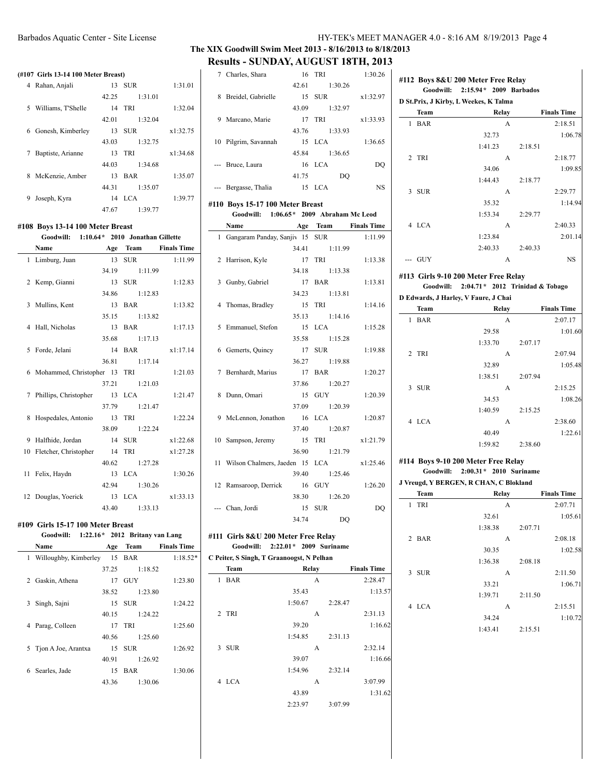### **The XIX Goodwill Swim Meet 2013 - 8/16/2013 to 8/18/2013 Results - SUNDAY, AUGUST 18TH, 2013**

### **(#107 Girls 13-14 100 Meter Breast)**

|   | 0.11.19.18.1.100.17.0001.20000 |       |            |          |
|---|--------------------------------|-------|------------|----------|
|   | 4 Rahan, Anjali                | 13    | <b>SUR</b> | 1:31.01  |
|   |                                | 42.25 | 1:31.01    |          |
| 5 | Williams, T'Shelle             |       | 14 TRI     | 1:32.04  |
|   |                                | 42.01 | 1:32.04    |          |
|   | 6 Gonesh, Kimberley            | 13    | <b>SUR</b> | x1:32.75 |
|   |                                | 43.03 | 1:32.75    |          |
| 7 | Baptiste, Arianne              | 13.   | - TRI      | x1:34.68 |
|   |                                | 44.03 | 1:34.68    |          |
| 8 | McKenzie, Amber                | 13    | <b>BAR</b> | 1:35.07  |
|   |                                | 44.31 | 1:35.07    |          |
| 9 | Joseph, Kyra                   |       | $14$ LCA   | 1:39.77  |
|   |                                | 47.67 | 1:39.77    |          |

#### **#108 Boys 13-14 100 Meter Breast Goodwill: 1:10.64\* 2010 Jonathan Gillette**

| <b>GOOGWILE</b><br>1:10.04 <i>L</i> 2010 JOHALHAH GIHELLE |  |               |                      |
|-----------------------------------------------------------|--|---------------|----------------------|
| Name                                                      |  |               | Age Team Finals Time |
| 1 Limburg, Juan                                           |  | 13 SUR        | 1:11.99              |
|                                                           |  | 34.19 1:11.99 |                      |
| 2 Kemp, Gianni                                            |  | 13 SUR        | 1:12.83              |
|                                                           |  | 34.86 1:12.83 |                      |
| 3 Mullins, Kent                                           |  | 13 BAR        | 1:13.82              |
|                                                           |  | 35.15 1:13.82 |                      |
| 4 Hall, Nicholas                                          |  | 13 BAR        | 1:17.13              |
|                                                           |  | 35.68 1:17.13 |                      |
| 5 Forde, Jelani                                           |  | 14 BAR        | x1:17.14             |
|                                                           |  | 36.81 1:17.14 |                      |
| 6 Mohammed, Christopher 13 TRI                            |  |               | 1:21.03              |
|                                                           |  | 37.21 1:21.03 |                      |
| 7 Phillips, Christopher 13 LCA                            |  |               | 1:21.47              |
|                                                           |  | 37.79 1:21.47 |                      |
| 8 Hospedales, Antonio                                     |  | 13 TRI        | 1:22.24              |
|                                                           |  | 38.09 1:22.24 |                      |
| 9 Halfhide, Jordan                                        |  | 14 SUR        | x1:22.68             |
| 10 Fletcher, Christopher 14                               |  | TRI           | x1:27.28             |
|                                                           |  | 40.62 1:27.28 |                      |
| 11 Felix, Haydn                                           |  | 13 LCA        | 1:30.26              |
|                                                           |  | 42.94 1:30.26 |                      |
| 12 Douglas, Yoerick                                       |  | 13 LCA        | x1:33.13             |
|                                                           |  | 43.40 1:33.13 |                      |

#### **#109 Girls 15-17 100 Meter Breast**

|   | Goodwill:               |       | $1:22.16*$ 2012 Britany van Lang |                    |
|---|-------------------------|-------|----------------------------------|--------------------|
|   | Name                    | Age   | Team                             | <b>Finals Time</b> |
|   | 1 Willoughby, Kimberley |       | 15 BAR                           | $1:18.52*$         |
|   |                         | 37.25 | 1:18.52                          |                    |
|   | 2 Gaskin, Athena        | 17    | GUY                              | 1:23.80            |
|   |                         | 38.52 | 1:23.80                          |                    |
| 3 | Singh, Sajni            |       | 15 SUR                           | 1:24.22            |
|   |                         | 40.15 | 1:24.22                          |                    |
| 4 | Parag, Colleen          | 17    | TRI                              | 1:25.60            |
|   |                         | 40.56 | 1:25.60                          |                    |
|   | 5 Tion A Joe, Arantxa   | 15    | <b>SUR</b>                       | 1:26.92            |
|   |                         | 40.91 | 1:26.92                          |                    |
| 6 | Searles, Jade           | 15    | <b>BAR</b>                       | 1:30.06            |
|   |                         | 43.36 | 1:30.06                          |                    |
|   |                         |       |                                  |                    |

|                                           | 7 Charles, Shara                        | 16      | TRI     | 1:30.26                     |  |  |  |  |
|-------------------------------------------|-----------------------------------------|---------|---------|-----------------------------|--|--|--|--|
|                                           |                                         | 42.61   | 1:30.26 |                             |  |  |  |  |
|                                           | 8 Breidel, Gabrielle                    |         | 15 SUR  | x1:32.97                    |  |  |  |  |
|                                           |                                         | 43.09   | 1:32.97 |                             |  |  |  |  |
|                                           | 9 Marcano, Marie                        |         | 17 TRI  | x1:33.93                    |  |  |  |  |
|                                           |                                         | 43.76   | 1:33.93 |                             |  |  |  |  |
|                                           | 10 Pilgrim, Savannah                    |         | 15 LCA  | 1:36.65                     |  |  |  |  |
|                                           |                                         | 45.84   | 1:36.65 |                             |  |  |  |  |
|                                           | --- Bruce, Laura                        |         | 16 LCA  | DQ                          |  |  |  |  |
|                                           |                                         | 41.75   |         | DQ                          |  |  |  |  |
|                                           | --- Bergasse, Thalia                    |         | 15 LCA  | NS                          |  |  |  |  |
|                                           |                                         |         |         |                             |  |  |  |  |
|                                           | #110 Boys 15-17 100 Meter Breast        |         |         |                             |  |  |  |  |
|                                           | Goodwill: 1:06.65* 2009 Abraham Mc Leod |         |         |                             |  |  |  |  |
|                                           | Name                                    |         |         | <b>Age Team</b> Finals Time |  |  |  |  |
|                                           | 1 Gangaram Panday, Sanjiv 15 SUR        |         |         | 1:11.99                     |  |  |  |  |
|                                           |                                         | 34.41   | 1:11.99 |                             |  |  |  |  |
|                                           | 2 Harrison, Kyle                        | 17      | TRI     | 1:13.38                     |  |  |  |  |
|                                           |                                         | 34.18   | 1:13.38 |                             |  |  |  |  |
|                                           | 3 Gunby, Gabriel                        |         | 17 BAR  | 1:13.81                     |  |  |  |  |
|                                           |                                         | 34.23   | 1:13.81 |                             |  |  |  |  |
| 4                                         | Thomas, Bradley                         |         | 15 TRI  | 1:14.16                     |  |  |  |  |
|                                           |                                         | 35.13   | 1:14.16 |                             |  |  |  |  |
|                                           | 5 Emmanuel, Stefon                      |         | 15 LCA  | 1:15.28                     |  |  |  |  |
|                                           |                                         | 35.58   | 1:15.28 |                             |  |  |  |  |
|                                           | 6 Gemerts, Quincy                       |         | 17 SUR  | 1:19.88                     |  |  |  |  |
|                                           |                                         | 36.27   | 1:19.88 |                             |  |  |  |  |
| 7                                         | Bernhardt, Marius                       |         | 17 BAR  | 1:20.27                     |  |  |  |  |
|                                           |                                         | 37.86   | 1:20.27 |                             |  |  |  |  |
| 8                                         | Dunn, Omari                             | 15      | GUY     | 1:20.39                     |  |  |  |  |
|                                           |                                         | 37.09   | 1:20.39 |                             |  |  |  |  |
|                                           | 9 McLennon, Jonathon                    |         | 16 LCA  | 1:20.87                     |  |  |  |  |
|                                           |                                         | 37.40   | 1:20.87 |                             |  |  |  |  |
|                                           | 10 Sampson, Jeremy                      | 15      | TRI     | x1:21.79                    |  |  |  |  |
|                                           |                                         | 36.90   | 1:21.79 |                             |  |  |  |  |
| 11                                        | Wilson Chalmers, Jaeden 15 LCA          |         |         | x1:25.46                    |  |  |  |  |
|                                           |                                         | 39.40   | 1:25.46 |                             |  |  |  |  |
|                                           | 12 Ramsaroop, Derrick                   | 16      | GUY     | 1:26.20                     |  |  |  |  |
|                                           |                                         | 38.30   | 1:26.20 |                             |  |  |  |  |
|                                           | --- Chan, Jordi                         |         | 15 SUR  | DQ                          |  |  |  |  |
|                                           |                                         | 34.74   |         | DQ                          |  |  |  |  |
|                                           |                                         |         |         |                             |  |  |  |  |
| #111 Girls 8&U 200 Meter Free Relay       |                                         |         |         |                             |  |  |  |  |
| 2:22.01 * 2009 Suriname<br>Goodwill:      |                                         |         |         |                             |  |  |  |  |
| C Peiter, S Singh, T Graanoogst, N Pelhan |                                         |         |         |                             |  |  |  |  |
|                                           | Team                                    |         | Relay   | <b>Finals Time</b>          |  |  |  |  |
| 1                                         | <b>BAR</b>                              |         | A       | 2:28.47                     |  |  |  |  |
|                                           |                                         | 35.43   |         | 1:13.57                     |  |  |  |  |
|                                           |                                         | 1:50.67 | 2:28.47 |                             |  |  |  |  |
| 2                                         | <b>TRI</b>                              |         | А       | 2:31.13                     |  |  |  |  |
|                                           |                                         | 39.20   |         | 1:16.62                     |  |  |  |  |
|                                           |                                         | 1:54.85 | 2:31.13 |                             |  |  |  |  |
| 3                                         | <b>SUR</b>                              |         | А       | 2:32.14                     |  |  |  |  |
|                                           |                                         |         |         |                             |  |  |  |  |

|              | <b>Team</b> | Relay   | <b>Finals Time</b> |
|--------------|-------------|---------|--------------------|
| $\mathbf{1}$ | <b>BAR</b>  | A       | 2:28.47            |
|              |             | 35.43   | 1:13.57            |
|              |             | 1:50.67 | 2:28.47            |
|              | 2 TRI       | A       | 2:31.13            |
|              |             | 39.20   | 1:16.62            |
|              |             | 1:54.85 | 2:31.13            |
| 3            | <b>SUR</b>  | A       | 2:32.14            |
|              |             | 39.07   | 1:16.66            |
|              |             | 1:54.96 | 2:32.14            |
|              | 4 LCA       | A       | 3:07.99            |
|              |             | 43.89   | 1:31.62            |
|              |             | 2:23.97 | 3:07.99            |
|              |             |         |                    |

|                |            | #112 Boys 8&U 200 Meter Free Relay<br>Goodwill: 2:15.94* 2009 Barbados   |       |         |                    |
|----------------|------------|--------------------------------------------------------------------------|-------|---------|--------------------|
|                | Team       | D St.Prix, J Kirby, L Weekes, K Talma<br>Relay                           |       |         | <b>Finals Time</b> |
| $\mathbf{1}$   | <b>BAR</b> |                                                                          | A     |         | 2:18.51            |
|                |            | 32.73                                                                    |       |         | 1:06.78            |
|                |            | 1:41.23                                                                  |       | 2:18.51 |                    |
| 2              | <b>TRI</b> |                                                                          | A     |         | 2:18.77            |
|                |            | 34.06                                                                    |       |         | 1:09.85            |
|                |            | 1:44.43                                                                  |       | 2:18.77 |                    |
| 3              | <b>SUR</b> |                                                                          | А     |         | 2:29.77            |
|                |            | 35.32                                                                    |       |         | 1:14.94            |
|                |            | 1:53.34                                                                  |       | 2:29.77 |                    |
|                | 4 LCA      |                                                                          | A     |         | 2:40.33            |
|                |            | 1:23.84                                                                  |       |         | 2:01.14            |
|                |            | 2:40.33                                                                  |       | 2:40.33 |                    |
|                | --- GUY    |                                                                          | A     |         | <b>NS</b>          |
|                |            |                                                                          |       |         |                    |
|                | Goodwill:  | #113 Girls 9-10 200 Meter Free Relay<br>2:04.71 * 2012 Trinidad & Tobago |       |         |                    |
|                |            | D Edwards, J Harley, V Faure, J Chai                                     |       |         |                    |
|                | Team       |                                                                          | Relay |         | <b>Finals Time</b> |
| 1              | <b>BAR</b> |                                                                          | A     |         | 2:07.17            |
|                |            | 29.58                                                                    |       |         | 1:01.60            |
|                |            | 1:33.70                                                                  |       | 2:07.17 |                    |
| $\overline{c}$ | TRI        |                                                                          | A     |         | 2:07.94            |
|                |            | 32.89                                                                    |       |         | 1:05.48            |
|                |            | 1:38.51                                                                  |       |         |                    |
|                |            |                                                                          |       | 2:07.94 |                    |
| 3              | <b>SUR</b> |                                                                          | A     |         | 2:15.25            |
|                |            | 34.53                                                                    |       |         | 1:08.26            |
|                |            | 1:40.59                                                                  |       | 2:15.25 |                    |
|                | 4 LCA      |                                                                          | A     |         | 2:38.60            |
|                |            | 40.49                                                                    |       |         | 1:22.61            |
|                |            | 1:59.82                                                                  |       | 2:38.60 |                    |
|                |            | #114 Boys 9-10 200 Meter Free Relay                                      |       |         |                    |
|                | Goodwill:  | $2:00.31 * 2010$ Suriname                                                |       |         |                    |
|                |            | J Vreugd, Y BERGEN, R CHAN, C Blokland                                   |       |         |                    |
|                | Team       | Relay                                                                    |       |         | <b>Finals Time</b> |
| 1              | TRI        |                                                                          | A     |         | 2:07.71            |
|                |            | 32.61                                                                    |       |         | 1:05.61            |
|                |            | 1:38.38                                                                  |       | 2:07.71 |                    |
| 2              | <b>BAR</b> |                                                                          | A     |         | 2:08.18            |
|                |            | 30.35                                                                    |       |         | 1:02.58            |
|                |            | 1:36.38                                                                  |       | 2:08.18 |                    |
|                | 3 SUR      |                                                                          | А     |         | 2:11.50            |
|                |            | 33.21                                                                    |       |         | 1:06.71            |
|                |            | 1:39.71                                                                  |       | 2:11.50 |                    |
|                | 4 LCA      |                                                                          | A     |         | 2:15.51            |
|                |            | 34.24                                                                    |       |         | 1:10.72            |
|                |            | 1:43.41                                                                  |       | 2:15.51 |                    |
|                |            |                                                                          |       |         |                    |